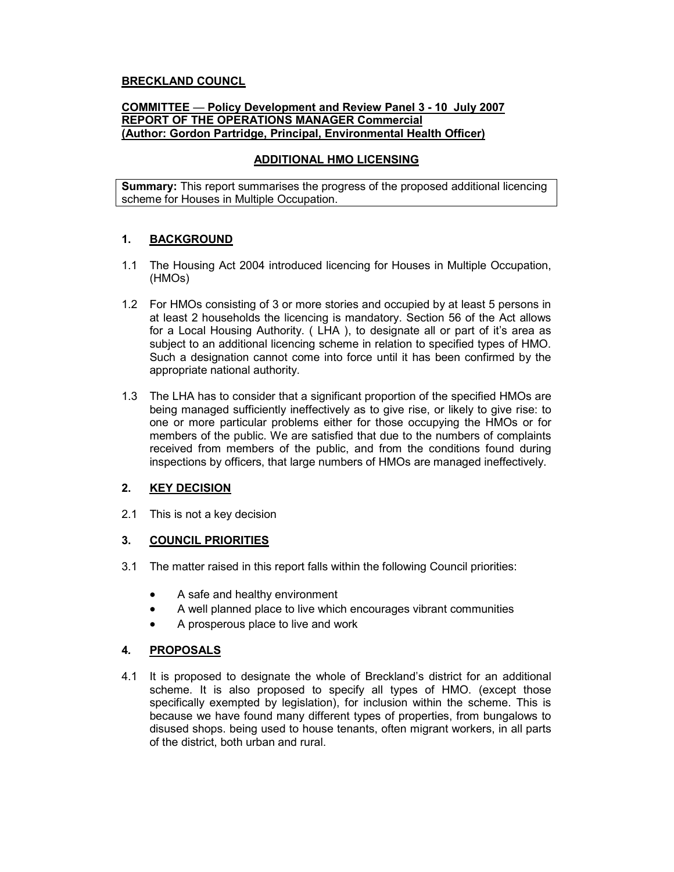# BRECKLAND COUNCL

#### COMMITTEE — Policy Development and Review Panel 3 - 10 July 2007 REPORT OF THE OPERATIONS MANAGER Commercial (Author: Gordon Partridge, Principal, Environmental Health Officer)

## ADDITIONAL HMO LICENSING

**Summary:** This report summarises the progress of the proposed additional licencing scheme for Houses in Multiple Occupation.

## 1. BACKGROUND

- 1.1 The Housing Act 2004 introduced licencing for Houses in Multiple Occupation, (HMOs)
- 1.2 For HMOs consisting of 3 or more stories and occupied by at least 5 persons in at least 2 households the licencing is mandatory. Section 56 of the Act allows for a Local Housing Authority. ( LHA ), to designate all or part of it's area as subject to an additional licencing scheme in relation to specified types of HMO. Such a designation cannot come into force until it has been confirmed by the appropriate national authority.
- 1.3 The LHA has to consider that a significant proportion of the specified HMOs are being managed sufficiently ineffectively as to give rise, or likely to give rise: to one or more particular problems either for those occupying the HMOs or for members of the public. We are satisfied that due to the numbers of complaints received from members of the public, and from the conditions found during inspections by officers, that large numbers of HMOs are managed ineffectively.

## 2. KEY DECISION

2.1 This is not a key decision

#### 3. COUNCIL PRIORITIES

- 3.1 The matter raised in this report falls within the following Council priorities:
	- A safe and healthy environment
	- A well planned place to live which encourages vibrant communities
	- A prosperous place to live and work

## 4. PROPOSALS

4.1 It is proposed to designate the whole of Breckland's district for an additional scheme. It is also proposed to specify all types of HMO. (except those specifically exempted by legislation), for inclusion within the scheme. This is because we have found many different types of properties, from bungalows to disused shops. being used to house tenants, often migrant workers, in all parts of the district, both urban and rural.